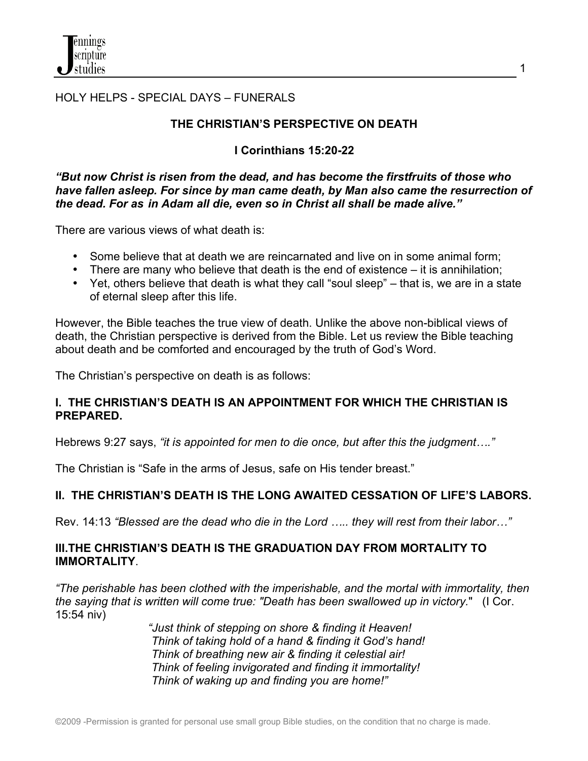## HOLY HELPS - SPECIAL DAYS – FUNERALS

## **THE CHRISTIAN'S PERSPECTIVE ON DEATH**

1

## **I Corinthians 15:20-22**

*"But now Christ is risen from the dead, and has become the firstfruits of those who have fallen asleep. For since by man came death, by Man also came the resurrection of the dead. For as in Adam all die, even so in Christ all shall be made alive."*

There are various views of what death is:

- Some believe that at death we are reincarnated and live on in some animal form;
- There are many who believe that death is the end of existence it is annihilation;
- Yet, others believe that death is what they call "soul sleep" that is, we are in a state of eternal sleep after this life.

However, the Bible teaches the true view of death. Unlike the above non-biblical views of death, the Christian perspective is derived from the Bible. Let us review the Bible teaching about death and be comforted and encouraged by the truth of God's Word.

The Christian's perspective on death is as follows:

#### **I. THE CHRISTIAN'S DEATH IS AN APPOINTMENT FOR WHICH THE CHRISTIAN IS PREPARED.**

Hebrews 9:27 says, *"it is appointed for men to die once, but after this the judgment…."* 

The Christian is "Safe in the arms of Jesus, safe on His tender breast."

## **II. THE CHRISTIAN'S DEATH IS THE LONG AWAITED CESSATION OF LIFE'S LABORS.**

Rev. 14:13 *"Blessed are the dead who die in the Lord ….. they will rest from their labor…"*

#### **III.THE CHRISTIAN'S DEATH IS THE GRADUATION DAY FROM MORTALITY TO IMMORTALITY**.

*"The perishable has been clothed with the imperishable, and the mortal with immortality, then the saying that is written will come true: "Death has been swallowed up in victory.*" (I Cor. 15:54 niv)

> *"Just think of stepping on shore & finding it Heaven! Think of taking hold of a hand & finding it God's hand! Think of breathing new air & finding it celestial air! Think of feeling invigorated and finding it immortality! Think of waking up and finding you are home!"*